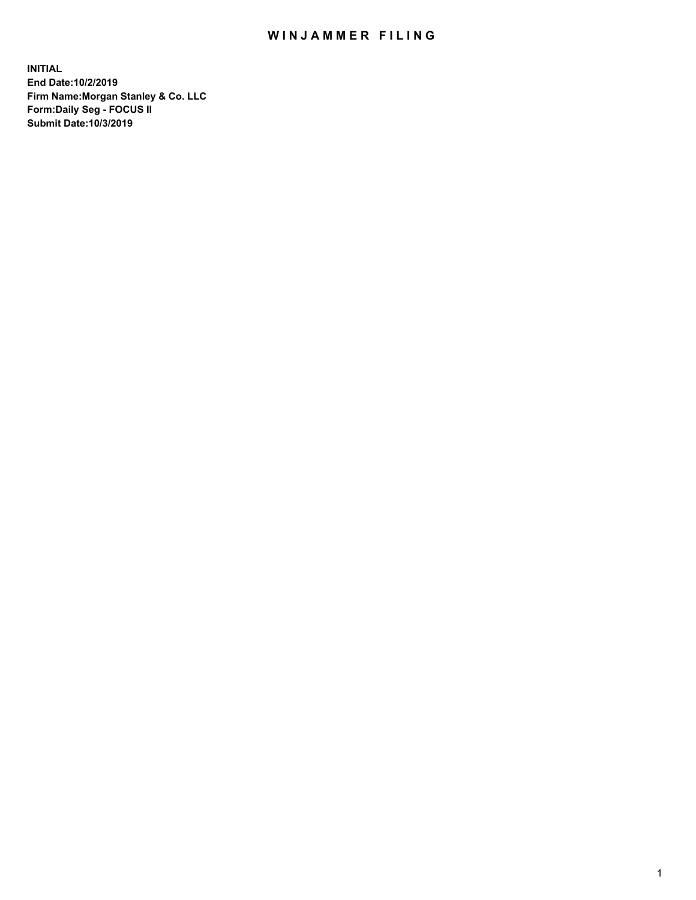## WIN JAMMER FILING

**INITIAL End Date:10/2/2019 Firm Name:Morgan Stanley & Co. LLC Form:Daily Seg - FOCUS II Submit Date:10/3/2019**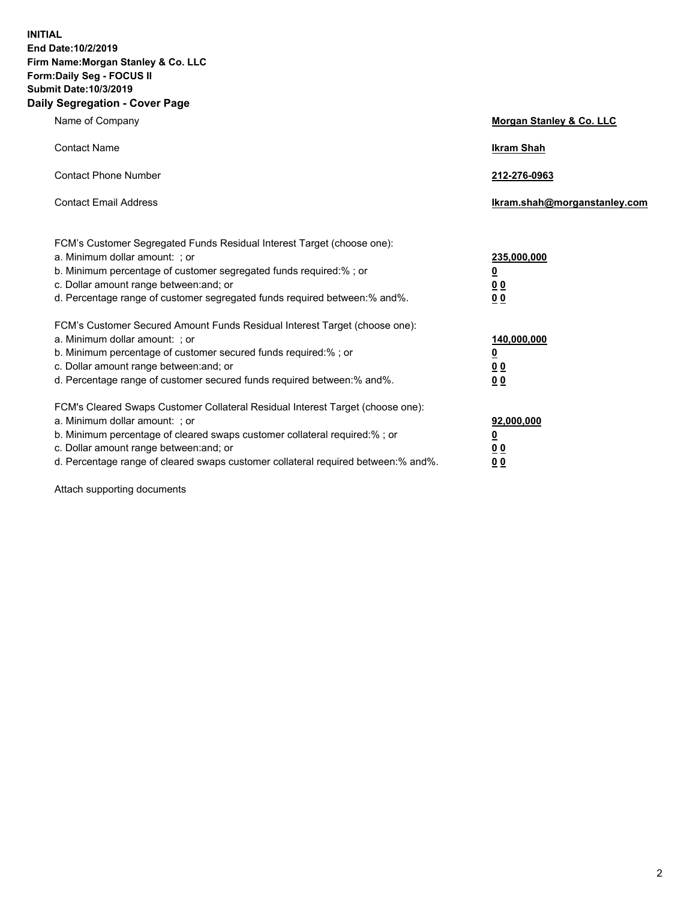**INITIAL End Date:10/2/2019 Firm Name:Morgan Stanley & Co. LLC Form:Daily Seg - FOCUS II Submit Date:10/3/2019 Daily Segregation - Cover Page**

| Name of Company                                                                                                                                                                                                                                                                                                               | Morgan Stanley & Co. LLC                                    |
|-------------------------------------------------------------------------------------------------------------------------------------------------------------------------------------------------------------------------------------------------------------------------------------------------------------------------------|-------------------------------------------------------------|
| <b>Contact Name</b>                                                                                                                                                                                                                                                                                                           | <b>Ikram Shah</b>                                           |
| <b>Contact Phone Number</b>                                                                                                                                                                                                                                                                                                   | 212-276-0963                                                |
| <b>Contact Email Address</b>                                                                                                                                                                                                                                                                                                  | Ikram.shah@morganstanley.com                                |
| FCM's Customer Segregated Funds Residual Interest Target (choose one):<br>a. Minimum dollar amount: ; or<br>b. Minimum percentage of customer segregated funds required:% ; or<br>c. Dollar amount range between: and; or<br>d. Percentage range of customer segregated funds required between:% and%.                        | 235,000,000<br><u>0</u><br><u>00</u><br>0 <sup>0</sup>      |
| FCM's Customer Secured Amount Funds Residual Interest Target (choose one):<br>a. Minimum dollar amount: ; or<br>b. Minimum percentage of customer secured funds required:%; or<br>c. Dollar amount range between: and; or<br>d. Percentage range of customer secured funds required between:% and%.                           | 140,000,000<br><u>0</u><br>0 <sub>0</sub><br>0 <sub>0</sub> |
| FCM's Cleared Swaps Customer Collateral Residual Interest Target (choose one):<br>a. Minimum dollar amount: ; or<br>b. Minimum percentage of cleared swaps customer collateral required:%; or<br>c. Dollar amount range between: and; or<br>d. Percentage range of cleared swaps customer collateral required between:% and%. | 92,000,000<br><u>0</u><br>0 Q<br>00                         |

Attach supporting documents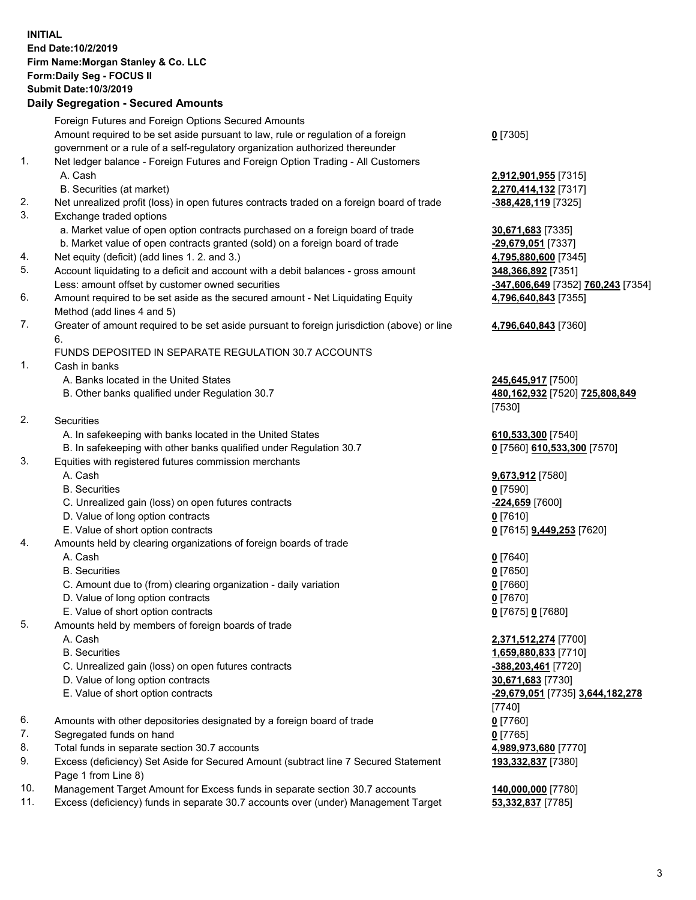## **INITIAL End Date:10/2/2019 Firm Name:Morgan Stanley & Co. LLC Form:Daily Seg - FOCUS II Submit Date:10/3/2019**

## **Daily Segregation - Secured Amounts**

|           | Foreign Futures and Foreign Options Secured Amounts                                                    |                                    |
|-----------|--------------------------------------------------------------------------------------------------------|------------------------------------|
|           | Amount required to be set aside pursuant to law, rule or regulation of a foreign                       | $0$ [7305]                         |
|           | government or a rule of a self-regulatory organization authorized thereunder                           |                                    |
| 1.        | Net ledger balance - Foreign Futures and Foreign Option Trading - All Customers                        |                                    |
|           | A. Cash                                                                                                | 2,912,901,955 [7315]               |
|           | B. Securities (at market)                                                                              | 2,270,414,132 [7317]               |
| 2.        | Net unrealized profit (loss) in open futures contracts traded on a foreign board of trade              | -388,428,119 [7325]                |
| 3.        | Exchange traded options                                                                                |                                    |
|           | a. Market value of open option contracts purchased on a foreign board of trade                         | 30,671,683 [7335]                  |
|           | b. Market value of open contracts granted (sold) on a foreign board of trade                           | -29,679,051 [7337]                 |
| 4.        | Net equity (deficit) (add lines 1.2. and 3.)                                                           | 4,795,880,600 [7345]               |
| 5.        | Account liquidating to a deficit and account with a debit balances - gross amount                      | 348,366,892 [7351]                 |
|           | Less: amount offset by customer owned securities                                                       | -347,606,649 [7352] 760,243 [7354] |
| 6.        | Amount required to be set aside as the secured amount - Net Liquidating Equity                         | 4,796,640,843 [7355]               |
|           | Method (add lines 4 and 5)                                                                             |                                    |
| 7.        | Greater of amount required to be set aside pursuant to foreign jurisdiction (above) or line            | 4,796,640,843 [7360]               |
|           | 6.                                                                                                     |                                    |
|           | FUNDS DEPOSITED IN SEPARATE REGULATION 30.7 ACCOUNTS                                                   |                                    |
| 1.        | Cash in banks                                                                                          |                                    |
|           | A. Banks located in the United States                                                                  | 245,645,917 [7500]                 |
|           | B. Other banks qualified under Regulation 30.7                                                         | 480,162,932 [7520] 725,808,849     |
|           |                                                                                                        | [7530]                             |
| 2.        | Securities                                                                                             |                                    |
|           | A. In safekeeping with banks located in the United States                                              | 610,533,300 [7540]                 |
|           | B. In safekeeping with other banks qualified under Regulation 30.7                                     | 0 [7560] 610,533,300 [7570]        |
| 3.        | Equities with registered futures commission merchants                                                  |                                    |
|           | A. Cash                                                                                                | 9,673,912 [7580]                   |
|           | <b>B.</b> Securities                                                                                   | $0$ [7590]                         |
|           | C. Unrealized gain (loss) on open futures contracts                                                    | -224,659 [7600]                    |
|           | D. Value of long option contracts                                                                      | $0$ [7610]                         |
|           | E. Value of short option contracts                                                                     | 0 [7615] <b>9,449,253</b> [7620]   |
| 4.        | Amounts held by clearing organizations of foreign boards of trade                                      |                                    |
|           | A. Cash                                                                                                | $0$ [7640]                         |
|           | <b>B.</b> Securities                                                                                   | $0$ [7650]                         |
|           | C. Amount due to (from) clearing organization - daily variation                                        | $0$ [7660]                         |
|           | D. Value of long option contracts                                                                      | $0$ [7670]                         |
|           | E. Value of short option contracts                                                                     | 0 [7675] 0 [7680]                  |
| 5.        | Amounts held by members of foreign boards of trade                                                     |                                    |
|           | A. Cash                                                                                                | 2,371,512,274 [7700]               |
|           | <b>B.</b> Securities                                                                                   | 1,659,880,833 [7710]               |
|           | C. Unrealized gain (loss) on open futures contracts                                                    | -388,203,461 [7720]                |
|           | D. Value of long option contracts                                                                      | 30,671,683 [7730]                  |
|           | E. Value of short option contracts                                                                     | -29,679,051 [7735] 3,644,182,278   |
|           |                                                                                                        | [7740]                             |
| 6.        | Amounts with other depositories designated by a foreign board of trade                                 | $0$ [7760]                         |
| 7.        | Segregated funds on hand                                                                               | $0$ [7765]                         |
| 8.        | Total funds in separate section 30.7 accounts                                                          | 4,989,973,680 [7770]               |
| 9.        | Excess (deficiency) Set Aside for Secured Amount (subtract line 7 Secured Statement                    | 193,332,837 [7380]                 |
|           | Page 1 from Line 8)                                                                                    |                                    |
| $10^{-1}$ | $n$ concerns $T$ cannot Approved for $T$ value funds in concerns continue 20. $\overline{7}$ concurred | 440.000.000177001                  |

- 10. Management Target Amount for Excess funds in separate section 30.7 accounts **140,000,000** [7780]
- 11. Excess (deficiency) funds in separate 30.7 accounts over (under) Management Target **53,332,837** [7785]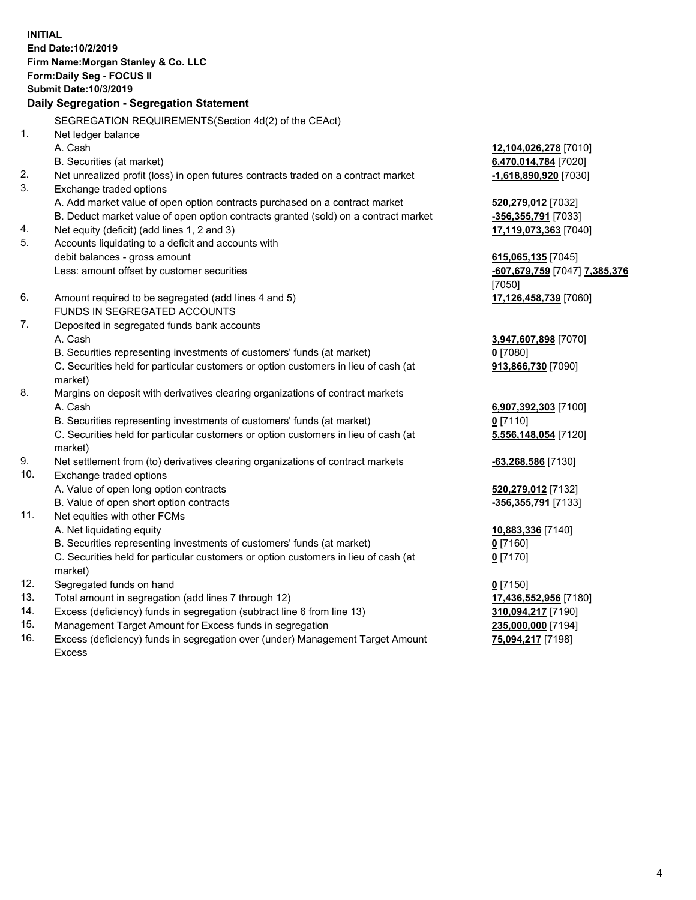**INITIAL End Date:10/2/2019 Firm Name:Morgan Stanley & Co. LLC Form:Daily Seg - FOCUS II Submit Date:10/3/2019 Daily Segregation - Segregation Statement** SEGREGATION REQUIREMENTS(Section 4d(2) of the CEAct) 1. Net ledger balance A. Cash **12,104,026,278** [7010] B. Securities (at market) **6,470,014,784** [7020] 2. Net unrealized profit (loss) in open futures contracts traded on a contract market **-1,618,890,920** [7030] 3. Exchange traded options A. Add market value of open option contracts purchased on a contract market **520,279,012** [7032] B. Deduct market value of open option contracts granted (sold) on a contract market **-356,355,791** [7033] 4. Net equity (deficit) (add lines 1, 2 and 3) **17,119,073,363** [7040] 5. Accounts liquidating to a deficit and accounts with debit balances - gross amount **615,065,135** [7045] Less: amount offset by customer securities **-607,679,759** [7047] **7,385,376** [7050] 6. Amount required to be segregated (add lines 4 and 5) **17,126,458,739** [7060] FUNDS IN SEGREGATED ACCOUNTS 7. Deposited in segregated funds bank accounts A. Cash **3,947,607,898** [7070] B. Securities representing investments of customers' funds (at market) **0** [7080] C. Securities held for particular customers or option customers in lieu of cash (at market) **913,866,730** [7090] 8. Margins on deposit with derivatives clearing organizations of contract markets A. Cash **6,907,392,303** [7100] B. Securities representing investments of customers' funds (at market) **0** [7110] C. Securities held for particular customers or option customers in lieu of cash (at market) **5,556,148,054** [7120] 9. Net settlement from (to) derivatives clearing organizations of contract markets **-63,268,586** [7130] 10. Exchange traded options A. Value of open long option contracts **520,279,012** [7132] B. Value of open short option contracts **-356,355,791** [7133] 11. Net equities with other FCMs A. Net liquidating equity **10,883,336** [7140] B. Securities representing investments of customers' funds (at market) **0** [7160] C. Securities held for particular customers or option customers in lieu of cash (at market) **0** [7170] 12. Segregated funds on hand **0** [7150] 13. Total amount in segregation (add lines 7 through 12) **17,436,552,956** [7180] 14. Excess (deficiency) funds in segregation (subtract line 6 from line 13) **310,094,217** [7190]

- 15. Management Target Amount for Excess funds in segregation **235,000,000** [7194]
- 16. Excess (deficiency) funds in segregation over (under) Management Target Amount Excess

**75,094,217** [7198]